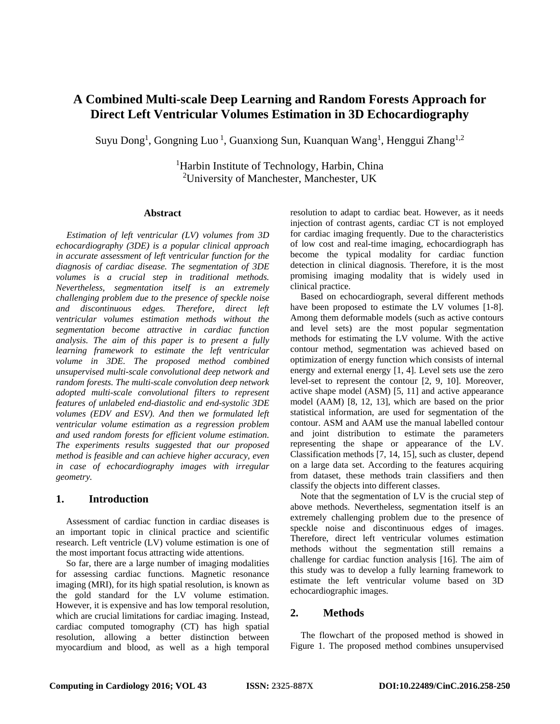# **A Combined Multi-scale Deep Learning and Random Forests Approach for Direct Left Ventricular Volumes Estimation in 3D Echocardiography**

Suyu Dong<sup>1</sup>, Gongning Luo<sup>1</sup>, Guanxiong Sun, Kuanquan Wang<sup>1</sup>, Henggui Zhang<sup>1,2</sup>

<sup>1</sup>Harbin Institute of Technology, Harbin, China <sup>2</sup>University of Manchester, Manchester, UK

#### **Abstract**

*Estimation of left ventricular (LV) volumes from 3D echocardiography (3DE) is a popular clinical approach in accurate assessment of left ventricular function for the diagnosis of cardiac disease. The segmentation of 3DE volumes is a crucial step in traditional methods. Nevertheless, segmentation itself is an extremely challenging problem due to the presence of speckle noise and discontinuous edges. Therefore, direct left ventricular volumes estimation methods without the segmentation become attractive in cardiac function analysis. The aim of this paper is to present a fully learning framework to estimate the left ventricular volume in 3DE. The proposed method combined unsupervised multi-scale convolutional deep network and random forests. The multi-scale convolution deep network adopted multi-scale convolutional filters to represent features of unlabeled end-diastolic and end-systolic 3DE volumes (EDV and ESV). And then we formulated left ventricular volume estimation as a regression problem and used random forests for efficient volume estimation. The experiments results suggested that our proposed method is feasible and can achieve higher accuracy, even in case of echocardiography images with irregular geometry.* 

## **1. Introduction**

Assessment of cardiac function in cardiac diseases is an important topic in clinical practice and scientific research. Left ventricle (LV) volume estimation is one of the most important focus attracting wide attentions.

So far, there are a large number of imaging modalities for assessing cardiac functions. Magnetic resonance imaging (MRI), for its high spatial resolution, is known as the gold standard for the LV volume estimation. However, it is expensive and has low temporal resolution, which are crucial limitations for cardiac imaging. Instead, cardiac computed tomography (CT) has high spatial resolution, allowing a better distinction between myocardium and blood, as well as a high temporal

resolution to adapt to cardiac beat. However, as it needs injection of contrast agents, cardiac CT is not employed for cardiac imaging frequently. Due to the characteristics of low cost and real-time imaging, echocardiograph has become the typical modality for cardiac function detection in clinical diagnosis. Therefore, it is the most promising imaging modality that is widely used in clinical practice.

Based on echocardiograph, several different methods have been proposed to estimate the LV volumes [1-8]. Among them deformable models (such as active contours and level sets) are the most popular segmentation methods for estimating the LV volume. With the active contour method, segmentation was achieved based on optimization of energy function which consists of internal energy and external energy [1, 4]. Level sets use the zero level-set to represent the contour [2, 9, 10]. Moreover, active shape model (ASM) [5, 11] and active appearance model (AAM) [8, 12, 13], which are based on the prior statistical information, are used for segmentation of the contour. ASM and AAM use the manual labelled contour and joint distribution to estimate the parameters representing the shape or appearance of the LV. Classification methods [7, 14, 15], such as cluster, depend on a large data set. According to the features acquiring from dataset, these methods train classifiers and then classify the objects into different classes.

Note that the segmentation of LV is the crucial step of above methods. Nevertheless, segmentation itself is an extremely challenging problem due to the presence of speckle noise and discontinuous edges of images. Therefore, direct left ventricular volumes estimation methods without the segmentation still remains a challenge for cardiac function analysis [16]. The aim of this study was to develop a fully learning framework to estimate the left ventricular volume based on 3D echocardiographic images.

# **2. Methods**

The flowchart of the proposed method is showed in Figure 1. The proposed method combines unsupervised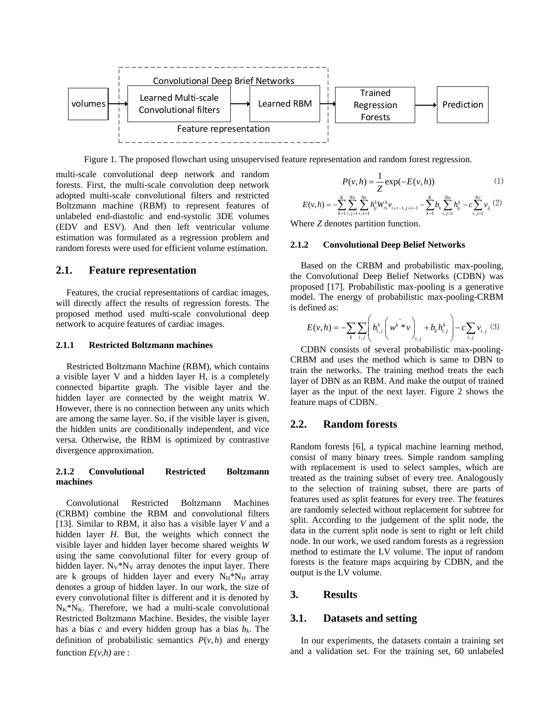

Figure 1. The proposed flowchart using unsupervised feature representation and random forest regression.

multi-scale convolutional deep network and random forests. First, the multi-scale convolution deep network adopted multi-scale convolutional filters and restricted Boltzmann machine (RBM) to represent features of unlabeled end-diastolic and end-systolic 3DE volumes (EDV and ESV). And then left ventricular volume estimation was formulated as a regression problem and random forests were used for efficient volume estimation.

#### **2.1. Feature representation**

Features, the crucial representations of cardiac images, will directly affect the results of regression forests. The proposed method used multi-scale convolutional deep network to acquire features of cardiac images.

#### **2.1.1 Restricted Boltzmann machines**

Restricted Boltzmann Machine (RBM), which contains a visible layer V and a hidden layer H, is a completely connected bipartite graph. The visible layer and the hidden layer are connected by the weight matrix W. However, there is no connection between any units which are among the same layer. So, if the visible layer is given, the hidden units are conditionally independent, and vice versa. Otherwise, the RBM is optimized by contrastive divergence approximation.

#### **2.1.2 Convolutional Restricted Boltzmann machines**

Convolutional Restricted Boltzmann Machines (CRBM) combine the RBM and convolutional filters [13]. Similar to RBM, it also has a visible layer *V* and a hidden layer *H*. But, the weights which connect the visible layer and hidden layer become shared weights *W* using the same convolutional filter for every group of hidden layer.  $N_V^*N_V$  array denotes the input layer. There are k groups of hidden layer and every  $N_H * N_H$  array denotes a group of hidden layer. In our work, the size of every convolutional filter is different and it is denoted by  $N_K^*N_K$ . Therefore, we had a multi-scale convolutional Restricted Boltzmann Machine. Besides, the visible layer has a bias  $c$  and every hidden group has a bias  $b_k$ . The definition of probabilistic semantics  $P(v, h)$  and energy function  $E(v,h)$  are :

$$
P(v,h) = \frac{1}{Z} \exp(-E(v,h))
$$
 (1)

$$
E(v,h) = -\sum_{k=1}^K \sum_{i,j=1}^{N_H} \sum_{r,s=1}^{N_K} h_{ij}^k W_{rs}^k v_{i+r-1,j+s-1} - \sum_{k=1}^K b_k \sum_{i,j=1}^{N_H} h_{ij}^k - c \sum_{i,j=1}^{N_V} v_{ij} \ (2)
$$

Where *Z* denotes partition function.

#### **2.1.2 Convolutional Deep Belief Networks**

Based on the CRBM and probabilistic max-pooling, the Convolutional Deep Belief Networks (CDBN) was proposed [17]. Probabilistic max-pooling is a generative model. The energy of probabilistic max-pooling-CRBM is defined as:

$$
E(v, h) = -\sum_{k} \sum_{i,j} \left( h_{i,j}^{k} \left( w^{k} \psi \right)_{i,j} + b_{k} h_{i,j}^{k} \right) - c \sum_{i,j} v_{i,j} \tag{3}
$$

CDBN consists of several probabilistic max-pooling-CRBM and uses the method which is same to DBN to train the networks. The training method treats the each layer of DBN as an RBM. And make the output of trained layer as the input of the next layer. Figure 2 shows the feature maps of CDBN.

## **2.2. Random forests**

Random forests [6], a typical machine learning method, consist of many binary trees. Simple random sampling with replacement is used to select samples, which are treated as the training subset of every tree. Analogously to the selection of training subset, there are parts of features used as split features for every tree. The features are randomly selected without replacement for subtree for split. According to the judgement of the split node, the data in the current split node is sent to right or left child node. In our work, we used random forests as a regression method to estimate the LV volume. The input of random forests is the feature maps acquiring by CDBN, and the output is the LV volume.

#### **3. Results**

# **3.1. Datasets and setting**

In our experiments, the datasets contain a training set and a validation set. For the training set, 60 unlabeled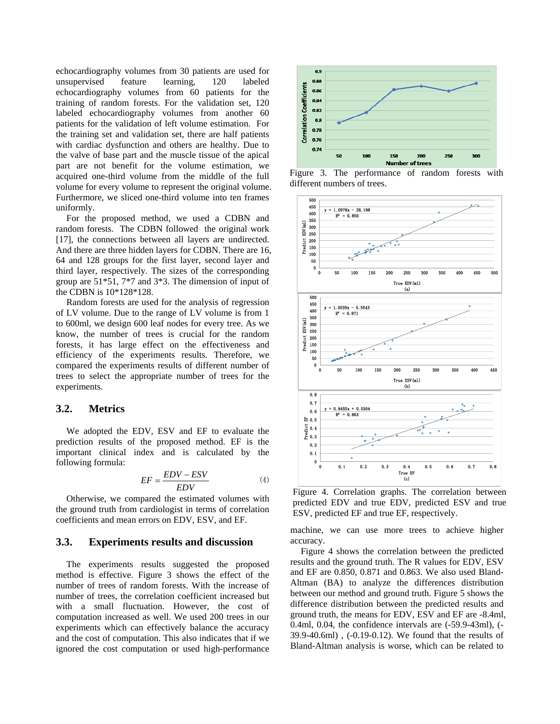echocardiography volumes from 30 patients are used for unsupervised feature learning, 120 labeled echocardiography volumes from 60 patients for the training of random forests. For the validation set, 120 labeled echocardiography volumes from another 60 patients for the validation of left volume estimation. For the training set and validation set, there are half patients with cardiac dysfunction and others are healthy. Due to the valve of base part and the muscle tissue of the apical part are not benefit for the volume estimation, we acquired one-third volume from the middle of the full volume for every volume to represent the original volume. Furthermore, we sliced one-third volume into ten frames uniformly.

For the proposed method, we used a CDBN and random forests. The CDBN followed the original work [17], the connections between all layers are undirected. And there are three hidden layers for CDBN. There are 16, 64 and 128 groups for the first layer, second layer and third layer, respectively. The sizes of the corresponding group are 51\*51, 7\*7 and 3\*3. The dimension of input of the CDBN is 10\*128\*128.

Random forests are used for the analysis of regression of LV volume. Due to the range of LV volume is from 1 to 600ml, we design 600 leaf nodes for every tree. As we know, the number of trees is crucial for the random forests, it has large effect on the effectiveness and efficiency of the experiments results. Therefore, we compared the experiments results of different number of trees to select the appropriate number of trees for the experiments.

#### **3.2. Metrics**

We adopted the EDV, ESV and EF to evaluate the prediction results of the proposed method. EF is the important clinical index and is calculated by the following formula:

$$
EF = \frac{EDV - ESV}{EDV} \tag{4}
$$

Otherwise, we compared the estimated volumes with the ground truth from cardiologist in terms of correlation coefficients and mean errors on EDV, ESV, and EF.

# **3.3. Experiments results and discussion**

The experiments results suggested the proposed method is effective. Figure 3 shows the effect of the number of trees of random forests. With the increase of number of trees, the correlation coefficient increased but with a small fluctuation. However, the cost of computation increased as well. We used 200 trees in our experiments which can effectively balance the accuracy and the cost of computation. This also indicates that if we ignored the cost computation or used high-performance



Figure 3. The performance of random forests with different numbers of trees.



Figure 4. Correlation graphs. The correlation between predicted EDV and true EDV, predicted ESV and true ESV, predicted EF and true EF, respectively.

machine, we can use more trees to achieve higher accuracy.

Figure 4 shows the correlation between the predicted results and the ground truth. The R values for EDV, ESV and EF are 0.850, 0.871 and 0.863. We also used Bland-Altman (BA) to analyze the differences distribution between our method and ground truth. Figure 5 shows the difference distribution between the predicted results and ground truth, the means for EDV, ESV and EF are -8.4ml, 0.4ml, 0.04, the confidence intervals are (-59.9-43ml), (- 39.9-40.6ml) , (-0.19-0.12). We found that the results of Bland-Altman analysis is worse, which can be related to